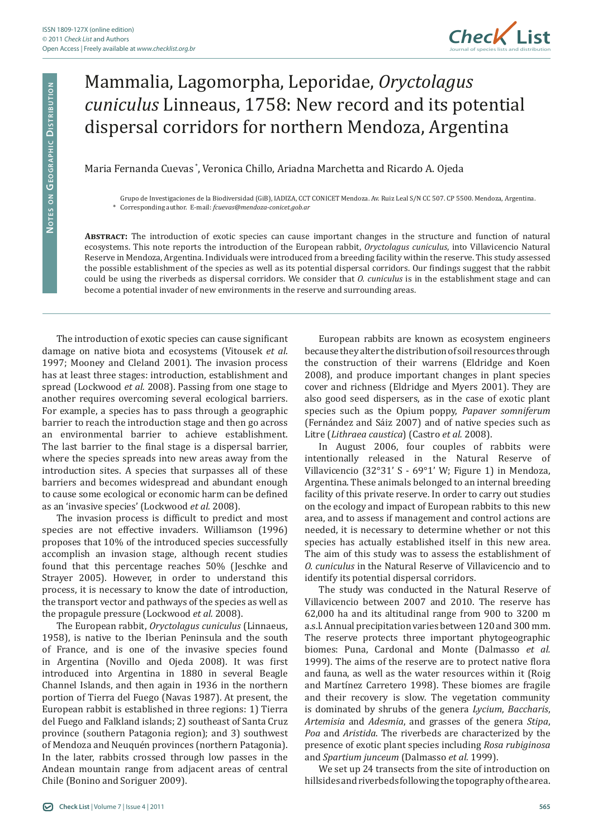

## Mammalia, Lagomorpha, Leporidae, *Oryctolagus cuniculus* Linneaus, 1758: New record and its potential dispersal corridors for northern Mendoza, Argentina

## Maria Fernanda Cuevas \*, Veronica Chillo, Ariadna Marchetta and Ricardo A. Ojeda

Grupo de Investigaciones de la Biodiversidad (GiB), IADIZA, CCT CONICET Mendoza. Av. Ruiz Leal S/N CC 507. CP 5500. Mendoza, Argentina. \* Corresponding author. E-mail: *fcuevas@mendoza-conicet.gob.ar*

**Abstract:** The introduction of exotic species can cause important changes in the structure and function of natural ecosystems. This note reports the introduction of the European rabbit, *Oryctolagus cuniculus*, into Villavicencio Natural Reserve in Mendoza, Argentina. Individuals were introduced from a breeding facility within the reserve. This study assessed the possible establishment of the species as well as its potential dispersal corridors. Our findings suggest that the rabbit could be using the riverbeds as dispersal corridors. We consider that *O. cuniculus* is in the establishment stage and can become a potential invader of new environments in the reserve and surrounding areas.

The introduction of exotic species can cause significant damage on native biota and ecosystems (Vitousek *et al*. 1997; Mooney and Cleland 2001). The invasion process has at least three stages: introduction, establishment and spread (Lockwood *et al.* 2008). Passing from one stage to another requires overcoming several ecological barriers. For example, a species has to pass through a geographic barrier to reach the introduction stage and then go across an environmental barrier to achieve establishment. The last barrier to the final stage is a dispersal barrier, where the species spreads into new areas away from the introduction sites. A species that surpasses all of these barriers and becomes widespread and abundant enough to cause some ecological or economic harm can be defined as an 'invasive species' (Lockwood *et al.* 2008).

The invasion process is difficult to predict and most species are not effective invaders. Williamson (1996) proposes that 10% of the introduced species successfully accomplish an invasion stage, although recent studies found that this percentage reaches 50% (Jeschke and Strayer 2005). However, in order to understand this process, it is necessary to know the date of introduction, the transport vector and pathways of the species as well as the propagule pressure (Lockwood *et al.* 2008).

The European rabbit, *Oryctolagus cuniculus* (Linnaeus, 1958), is native to the Iberian Peninsula and the south of France, and is one of the invasive species found in Argentina (Novillo and Ojeda 2008). It was first introduced into Argentina in 1880 in several Beagle Channel Islands, and then again in 1936 in the northern portion of Tierra del Fuego (Navas 1987). At present, the European rabbit is established in three regions: 1) Tierra del Fuego and Falkland islands; 2) southeast of Santa Cruz province (southern Patagonia region); and 3) southwest of Mendoza and Neuquén provinces (northern Patagonia). In the later, rabbits crossed through low passes in the Andean mountain range from adjacent areas of central Chile (Bonino and Soriguer 2009).

European rabbits are known as ecosystem engineers because they alter the distribution of soil resources through the construction of their warrens (Eldridge and Koen 2008), and produce important changes in plant species cover and richness (Eldridge and Myers 2001). They are also good seed dispersers, as in the case of exotic plant species such as the Opium poppy, *Papaver somniferum* (Fernández and Sáiz 2007) and of native species such as Litre (*Lithraea caustica*) (Castro *et al.* 2008).

In August 2006, four couples of rabbits were intentionally released in the Natural Reserve of Villavicencio (32°31' S - 69°1' W; Figure 1) in Mendoza, Argentina. These animals belonged to an internal breeding facility of this private reserve. In order to carry out studies on the ecology and impact of European rabbits to this new area, and to assess if management and control actions are needed, it is necessary to determine whether or not this species has actually established itself in this new area. The aim of this study was to assess the establishment of *O. cuniculus* in the Natural Reserve of Villavicencio and to identify its potential dispersal corridors.

The study was conducted in the Natural Reserve of Villavicencio between 2007 and 2010. The reserve has 62,000 ha and its altitudinal range from 900 to 3200 m a.s.l. Annual precipitation varies between 120 and 300 mm. The reserve protects three important phytogeographic biomes: Puna, Cardonal and Monte (Dalmasso *et al.* 1999). The aims of the reserve are to protect native flora and fauna, as well as the water resources within it (Roig and Martínez Carretero 1998). These biomes are fragile and their recovery is slow. The vegetation community is dominated by shrubs of the genera *Lycium*, *Baccharis*, *Artemisia* and *Adesmia*, and grasses of the genera *Stipa*, *Poa* and *Aristida*. The riverbeds are characterized by the presence of exotic plant species including *Rosa rubiginosa*  and *Spartium junceum* (Dalmasso *et al.* 1999).

We set up 24 transects from the site of introduction on hillsides and riverbeds following the topography of the area.